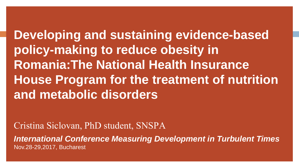**Developing and sustaining evidence-based policy-making to reduce obesity in Romania:The National Health Insurance House Program for the treatment of nutrition and metabolic disorders**

Cristina Siclovan, PhD student, SNSPA

*International Conference Measuring Development in Turbulent Times* Nov.28-29,2017, Bucharest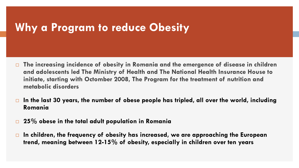## **Why a Program to reduce Obesity**

- **The increasing incidence of obesity in Romania and the emergence of disease in children and adolescents led The Ministry of Health and The National Health Insurance House to initiate, starting with Octomber 2008, The Program for the treatment of nutrition and metabolic disorders**
- **In the last 30 years, the number of obese people has tripled, all over the world, including Romania**
- **25% obese in the total adult population in Romania**
- **In children, the frequency of obesity has increased, we are approaching the European trend, meaning between 12-15% of obesity, especially in children over ten years**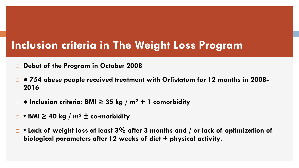# **Inclusion criteria in The Weight Loss Program**

- **Debut of the Program in October 2008**
- **● 754 obese people received treatment with Orlistatum for 12 months in 2008- 2016**
- **Inclusion criteria: BMI ≥ 35 kg / m² + 1 comorbidity**
- **BMI ≥ 40 kg / m² ± co-morbidity**
- **Lack of weight loss at least 3% after 3 months and / or lack of optimization of biological parameters after 12 weeks of diet + physical activity**.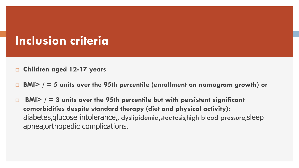# **Inclusion criteria**

- **Children aged 12-17 years**
- **BMI> / = 5 units over the 95th percentile (enrollment on nomogram growth) or**
- **BMI> / = 3 units over the 95th percentile but with persistent significant comorbidities despite standard therapy (diet and physical activity):** diabetes,glucose intolerance,, dyslipidemia,steatosis,high blood pressure,sleep apnea,orthopedic complications.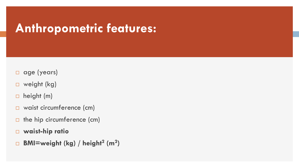# **Anthropometric features:**

- $\Box$  age (years)
- □ weight (kg)
- $\Box$  height (m)
- □ waist circumference (cm)
- $\Box$  the hip circumference (cm)
- **waist-hip ratio**
- **BMI=weight (kg) / height<sup>2</sup> (m<sup>2</sup> )**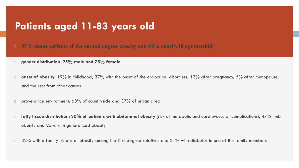### **Patients aged 11-83 years old**

**57% obese patients of the second degree obesity and 43% obesity III dgr.(morbid)**

- **gender distribution**: **25% male and 75% female**
- **onset of obesity**: 19% in childhood; 37% with the onset of the endocrine disorders; 13% after pregnancy, 5% after menopause, and the rest from other causes
- provenance environment: 63% of countryside and 37% of urban area
- **fatty tissue distribution**: **30% of patients with abdominal obesity** (risk of metabolic and cardiovascular complications), 47% limb obesity and 23% with generalized obesity
- $\Box$  32% with a family history of obesity among the first-degree relatives and 21% with diabetes in one of the family members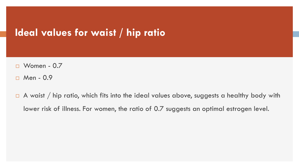### **Ideal values for waist / hip ratio**

- $\Box$  Women 0.7
- $\Box$  Men 0.9
- $\Box$  A waist / hip ratio, which fits into the ideal values above, suggests a healthy body with lower risk of illness. For women, the ratio of 0.7 suggests an optimal estrogen level.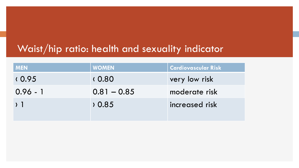### Waist/hip ratio: health and sexuality indicator

| <b>MEN</b>      | <b>WOMEN</b>  | <b>Cardiovascular Risk</b> |
|-----------------|---------------|----------------------------|
| (0.95)          | (0.80)        | very low risk              |
| $0.96 - 1$      | $0.81 - 0.85$ | moderate risk              |
| $\rightarrow$ 1 | 0.85          | increased risk             |
|                 |               |                            |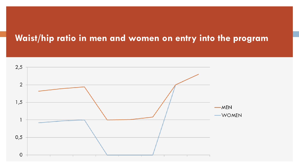#### **Waist/hip ratio in men and women on entry into the program**

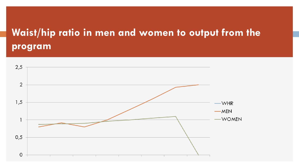# **Waist/hip ratio in men and women to output from the program**

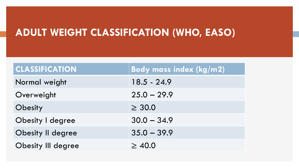## **ADULT WEIGHT CLASSIFICATION (WHO, EASO)**

| <b>CLASSIFICATION</b>     | Body mass index (kg/m2) |
|---------------------------|-------------------------|
| Normal weight             | $18.5 - 24.9$           |
| Overweight                | $25.0 - 29.9$           |
| Obesity                   | $\geq 30.0$             |
| Obesity I degree          | $30.0 - 34.9$           |
| <b>Obesity II degree</b>  | $35.0 - 39.9$           |
| <b>Obesity III degree</b> | $\geq 40.0$             |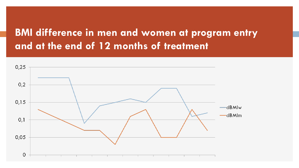### **BMI difference in men and women at program entry and at the end of 12 months of treatment**

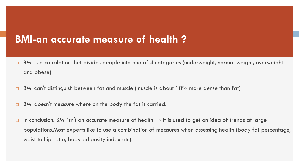### **BMI-an accurate measure of health ?**

- $\Box$  BMI is a calculation thet divides people into one of 4 categories (underweight, normal weight, overweight and obese)
- $\Box$  BMI can't distinguish between fat and muscle (muscle is about 18% more dense than fat)
- □ BMI doesn't measure where on the body the fat is carried.
- In conclusion: BMI isn't an accurate measure of health  $\rightarrow$  it is used to get on idea of trends at large populations.Most experts like to use a combination of measures when assessing health (body fat percentage, waist to hip ratio, body adiposity index etc).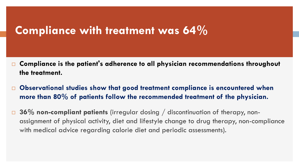### **Compliance with treatment was 64%**

- **Compliance is the patient's adherence to all physician recommendations throughout the treatment.**
- **Observational studies show that good treatment compliance is encountered when more than 80% of patients follow the recommended treatment of the physician.**
- **36% non-compliant patients** (irregular dosing / discontinuation of therapy, nonassignment of physical activity, diet and lifestyle change to drug therapy, non-compliance with medical advice regarding calorie diet and periodic assessments).